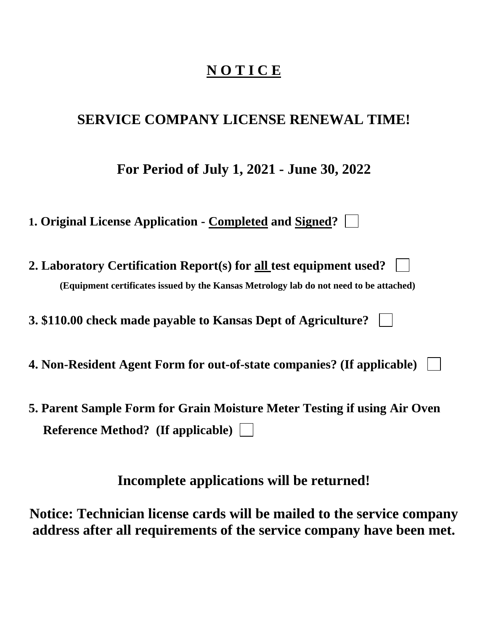# **N O T I C E**

# **SERVICE COMPANY LICENSE RENEWAL TIME!**

**For Period of July 1, 2021 - June 30, 2022**

**1. Original License Application - Completed and Signed?**

**2. Laboratory Certification Report(s) for all test equipment used? (Equipment certificates issued by the Kansas Metrology lab do not need to be attached)**

**3. \$110.00 check made payable to Kansas Dept of Agriculture?** 

- **4. Non-Resident Agent Form for out-of-state companies? (If applicable)**
- **5. Parent Sample Form for Grain Moisture Meter Testing if using Air Oven Reference Method? (If applicable)**

**Incomplete applications will be returned!**

**Notice: Technician license cards will be mailed to the service company address after all requirements of the service company have been met.**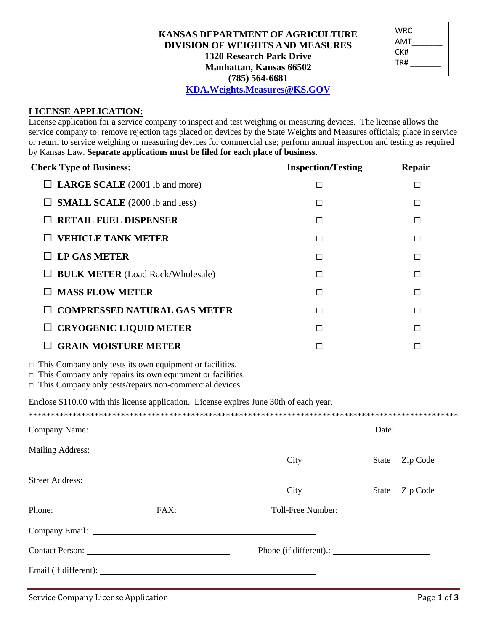## KANSAS DEPARTMENT OF AGRICULTURE **DIVISION OF WEIGHTS AND MEASURES 1320 Research Park Drive** Manhattan, Kansas 66502  $(785) 564 - 6681$ **KDA.Weights.Measures@KS.GOV**

| WRC<br>AMT |  |
|------------|--|
| CK#        |  |
| TR#        |  |
|            |  |

### **LICENSE APPLICATION:**

License application for a service company to inspect and test weighing or measuring devices. The license allows the service company to: remove rejection tags placed on devices by the State Weights and Measures officials; place in service or return to service weighing or measuring devices for commercial use; perform annual inspection and testing as required by Kansas Law. Separate applications must be filed for each place of business.

| <b>Check Type of Business:</b> |                                                                                                                                                                                                 | <b>Inspection/Testing</b> | Repair                   |
|--------------------------------|-------------------------------------------------------------------------------------------------------------------------------------------------------------------------------------------------|---------------------------|--------------------------|
| $\Box$                         | LARGE SCALE (2001 lb and more)                                                                                                                                                                  | $\Box$                    | $\Box$                   |
|                                | <b>SMALL SCALE</b> (2000 lb and less)                                                                                                                                                           | $\Box$                    | $\Box$                   |
|                                | <b>RETAIL FUEL DISPENSER</b>                                                                                                                                                                    | $\Box$                    | $\Box$                   |
| <b>VEHICLE TANK METER</b>      |                                                                                                                                                                                                 | $\Box$                    | □                        |
| <b>LP GAS METER</b>            |                                                                                                                                                                                                 | $\Box$                    | $\Box$                   |
|                                | <b>BULK METER (Load Rack/Wholesale)</b>                                                                                                                                                         | $\Box$                    | $\Box$                   |
| <b>MASS FLOW METER</b>         |                                                                                                                                                                                                 | $\Box$                    | $\Box$                   |
|                                | <b>COMPRESSED NATURAL GAS METER</b>                                                                                                                                                             | $\Box$                    | □                        |
|                                | <b>CRYOGENIC LIQUID METER</b>                                                                                                                                                                   | $\Box$                    | $\Box$                   |
|                                | <b>GRAIN MOISTURE METER</b>                                                                                                                                                                     | $\Box$                    | $\Box$                   |
|                                | $\Box$ This Company only tests its own equipment or facilities.<br>$\Box$ This Company only repairs its own equipment or facilities.<br>This Company only tests/repairs non-commercial devices. |                           |                          |
|                                | Enclose \$110.00 with this license application. License expires June 30th of each year.                                                                                                         |                           |                          |
|                                | Company Name: Date: Date:                                                                                                                                                                       |                           |                          |
|                                |                                                                                                                                                                                                 |                           |                          |
|                                |                                                                                                                                                                                                 | City                      | Zip Code<br><b>State</b> |
|                                |                                                                                                                                                                                                 | City                      | Zip Code<br>State        |
|                                | Phone: $\overline{\phantom{a}}$ FAX:                                                                                                                                                            |                           | Toll-Free Number:        |
|                                |                                                                                                                                                                                                 |                           |                          |
|                                |                                                                                                                                                                                                 |                           |                          |
|                                |                                                                                                                                                                                                 | Phone (if different).:    |                          |
| Email (if different):          |                                                                                                                                                                                                 |                           |                          |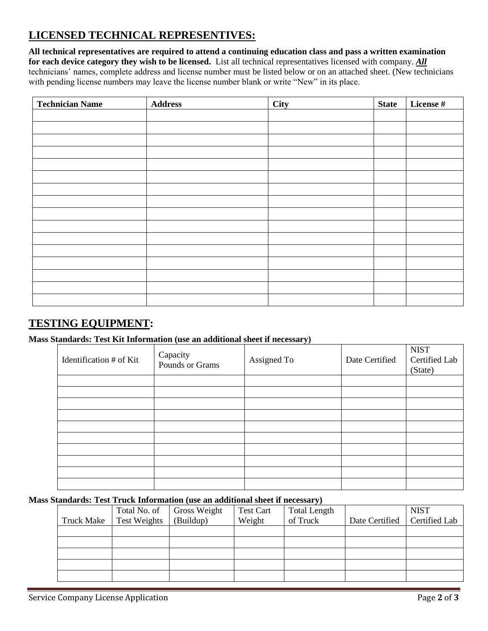# **LICENSED TECHNICAL REPRESENTIVES:**

**All technical representatives are required to attend a continuing education class and pass a written examination for each device category they wish to be licensed.** List all technical representatives licensed with company. *All* technicians' names, complete address and license number must be listed below or on an attached sheet. (New technicians with pending license numbers may leave the license number blank or write "New" in its place.

| <b>Technician Name</b> | <b>Address</b> | City | <b>State</b> | License # |
|------------------------|----------------|------|--------------|-----------|
|                        |                |      |              |           |
|                        |                |      |              |           |
|                        |                |      |              |           |
|                        |                |      |              |           |
|                        |                |      |              |           |
|                        |                |      |              |           |
|                        |                |      |              |           |
|                        |                |      |              |           |
|                        |                |      |              |           |
|                        |                |      |              |           |
|                        |                |      |              |           |
|                        |                |      |              |           |
|                        |                |      |              |           |
|                        |                |      |              |           |
|                        |                |      |              |           |
|                        |                |      |              |           |

# **TESTING EQUIPMENT:**

### **Mass Standards: Test Kit Information (use an additional sheet if necessary)**

| Identification # of Kit | Capacity<br>Pounds or Grams | Assigned To | Date Certified | <b>NIST</b><br>Certified Lab<br>(State) |
|-------------------------|-----------------------------|-------------|----------------|-----------------------------------------|
|                         |                             |             |                |                                         |
|                         |                             |             |                |                                         |
|                         |                             |             |                |                                         |
|                         |                             |             |                |                                         |
|                         |                             |             |                |                                         |
|                         |                             |             |                |                                         |
|                         |                             |             |                |                                         |
|                         |                             |             |                |                                         |
|                         |                             |             |                |                                         |
|                         |                             |             |                |                                         |

#### **Mass Standards: Test Truck Information (use an additional sheet if necessary)**

|                   |                     | Total No. of Gross Weight | <b>Test Cart</b> | <b>Total Length</b> |                                | <b>NIST</b> |
|-------------------|---------------------|---------------------------|------------------|---------------------|--------------------------------|-------------|
| <b>Truck Make</b> | <b>Test Weights</b> | (Buildup)                 | Weight           | of Truck            | Date Certified   Certified Lab |             |
|                   |                     |                           |                  |                     |                                |             |
|                   |                     |                           |                  |                     |                                |             |
|                   |                     |                           |                  |                     |                                |             |
|                   |                     |                           |                  |                     |                                |             |
|                   |                     |                           |                  |                     |                                |             |